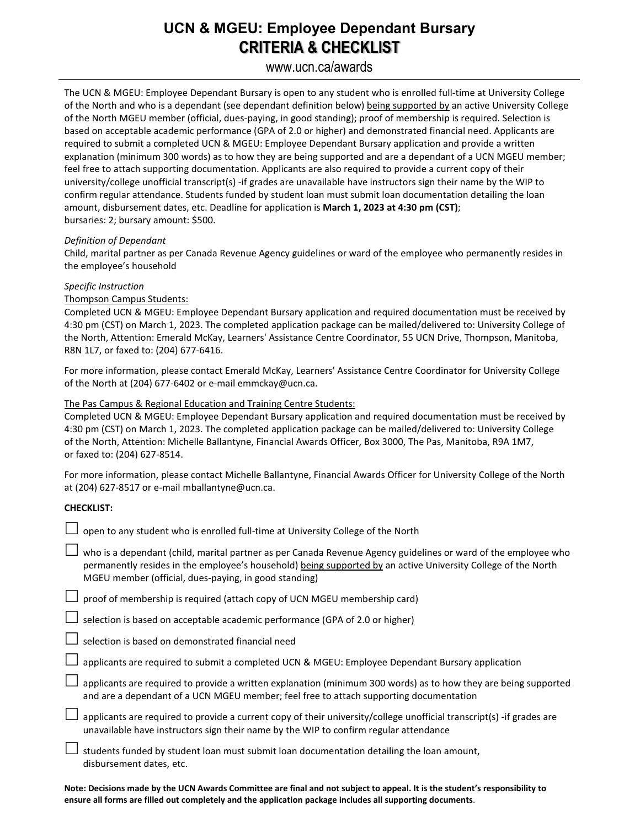## **UCN & MGEU: Employee Dependant Bursary CRITERIA & CHECKLIST**

### www.ucn.ca/awards

The UCN & MGEU: Employee Dependant Bursary is open to any student who is enrolled full-time at University College of the North and who is a dependant (see dependant definition below) being supported by an active University College of the North MGEU member (official, dues-paying, in good standing); proof of membership is required. Selection is based on acceptable academic performance (GPA of 2.0 or higher) and demonstrated financial need. Applicants are required to submit a completed UCN & MGEU: Employee Dependant Bursary application and provide a written explanation (minimum 300 words) as to how they are being supported and are a dependant of a UCN MGEU member; feel free to attach supporting documentation. Applicants are also required to provide a current copy of their university/college unofficial transcript(s) -if grades are unavailable have instructors sign their name by the WIP to confirm regular attendance. Students funded by student loan must submit loan documentation detailing the loan amount, disbursement dates, etc. Deadline for application is **March 1, 2023 at 4:30 pm (CST)**; bursaries: 2; bursary amount: \$500.

#### *Definition of Dependant*

Child, marital partner as per Canada Revenue Agency guidelines or ward of the employee who permanently resides in the employee's household

#### *Specific Instruction*

#### Thompson Campus Students:

Completed UCN & MGEU: Employee Dependant Bursary application and required documentation must be received by 4:30 pm (CST) on March 1, 2023. The completed application package can be mailed/delivered to: University College of the North, Attention: Emerald McKay, Learners' Assistance Centre Coordinator, 55 UCN Drive, Thompson, Manitoba, R8N 1L7, or faxed to: (204) 677-6416.

For more information, please contact Emerald McKay, Learners' Assistance Centre Coordinator for University College of the North at (204) 677-6402 or e-mail emmckay@ucn.ca.

#### The Pas Campus & Regional Education and Training Centre Students:

Completed UCN & MGEU: Employee Dependant Bursary application and required documentation must be received by 4:30 pm (CST) on March 1, 2023. The completed application package can be mailed/delivered to: University College of the North, Attention: Michelle Ballantyne, Financial Awards Officer, Box 3000, The Pas, Manitoba, R9A 1M7, or faxed to: (204) 627-8514.

For more information, please contact Michelle Ballantyne, Financial Awards Officer for University College of the North at (204) 627-8517 or e-mail mballantyne@ucn.ca.

#### **CHECKLIST:**

| open to any student who is enrolled full-time at University College of the North                                                                                                                                                                                                         |
|------------------------------------------------------------------------------------------------------------------------------------------------------------------------------------------------------------------------------------------------------------------------------------------|
| who is a dependant (child, marital partner as per Canada Revenue Agency guidelines or ward of the employee who<br>permanently resides in the employee's household) being supported by an active University College of the North<br>MGEU member (official, dues-paying, in good standing) |
| proof of membership is required (attach copy of UCN MGEU membership card)                                                                                                                                                                                                                |
| selection is based on acceptable academic performance (GPA of 2.0 or higher)                                                                                                                                                                                                             |
| selection is based on demonstrated financial need                                                                                                                                                                                                                                        |
| applicants are required to submit a completed UCN & MGEU: Employee Dependant Bursary application                                                                                                                                                                                         |
| applicants are required to provide a written explanation (minimum 300 words) as to how they are being supported<br>and are a dependant of a UCN MGEU member; feel free to attach supporting documentation                                                                                |
| applicants are required to provide a current copy of their university/college unofficial transcript(s) -if grades are<br>unavailable have instructors sign their name by the WIP to confirm regular attendance                                                                           |
| students funded by student loan must submit loan documentation detailing the loan amount,<br>disbursement dates, etc.                                                                                                                                                                    |
|                                                                                                                                                                                                                                                                                          |

**Note: Decisions made by the UCN Awards Committee are final and not subject to appeal. It is the student's responsibility to ensure all forms are filled out completely and the application package includes all supporting documents**.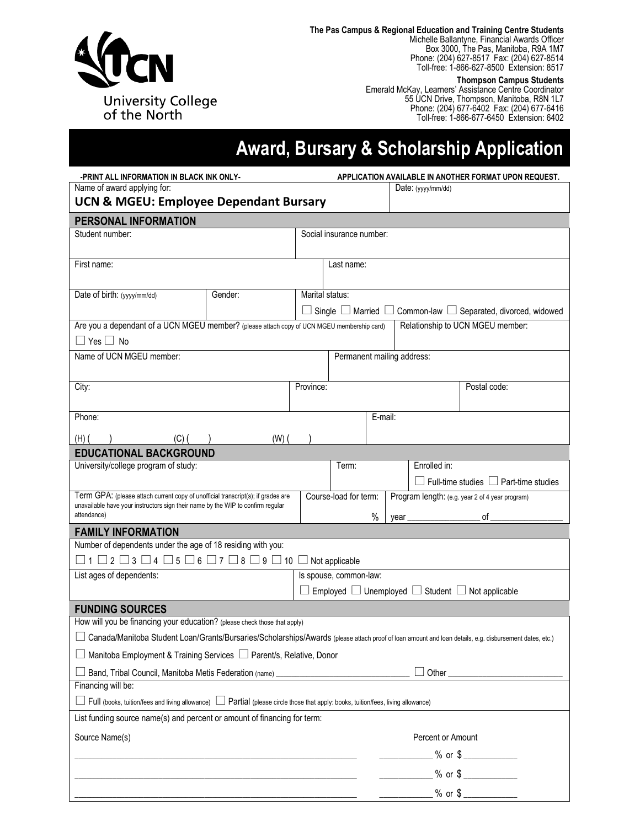

**The Pas Campus & Regional Education and Training Centre Students**

Michelle Ballantyne, Financial Awards Officer Box 3000, The Pas, Manitoba, R9A 1M7 Phone: (204) 627-8517 Fax: (204) 627-8514 Toll-free: 1-866-627-8500 Extension: 8517

**Thompson Campus Students**

Emerald McKay, Learners' Assistance Centre Coordinator 55 UCN Drive, Thompson, Manitoba, R8N 1L7 Phone: (204) 677-6402 Fax: (204) 677-6416 Toll-free: 1-866-677-6450 Extension: 6402

# **Award, Bursary & Scholarship Application**

| -PRINT ALL INFORMATION IN BLACK INK ONLY-                                                                                                                           | APPLICATION AVAILABLE IN ANOTHER FORMAT UPON REQUEST. |                                                                                                                    |                                                                                                  |         |                    |                   |                                                   |  |
|---------------------------------------------------------------------------------------------------------------------------------------------------------------------|-------------------------------------------------------|--------------------------------------------------------------------------------------------------------------------|--------------------------------------------------------------------------------------------------|---------|--------------------|-------------------|---------------------------------------------------|--|
| Name of award applying for:                                                                                                                                         |                                                       |                                                                                                                    |                                                                                                  |         | Date: (yyyy/mm/dd) |                   |                                                   |  |
| <b>UCN &amp; MGEU: Employee Dependant Bursary</b>                                                                                                                   |                                                       |                                                                                                                    |                                                                                                  |         |                    |                   |                                                   |  |
| PERSONAL INFORMATION                                                                                                                                                |                                                       |                                                                                                                    |                                                                                                  |         |                    |                   |                                                   |  |
| Student number:                                                                                                                                                     |                                                       |                                                                                                                    | Social insurance number:                                                                         |         |                    |                   |                                                   |  |
|                                                                                                                                                                     |                                                       |                                                                                                                    |                                                                                                  |         |                    |                   |                                                   |  |
| First name:                                                                                                                                                         |                                                       |                                                                                                                    | Last name:                                                                                       |         |                    |                   |                                                   |  |
|                                                                                                                                                                     |                                                       |                                                                                                                    |                                                                                                  |         |                    |                   |                                                   |  |
| Date of birth: (yyyy/mm/dd)                                                                                                                                         | Gender:                                               |                                                                                                                    | Marital status:                                                                                  |         |                    |                   |                                                   |  |
| Are you a dependant of a UCN MGEU member? (please attach copy of UCN MGEU membership card)                                                                          |                                                       | Common-law $\Box$ Separated, divorced, widowed<br>Single $\Box$ Married $\Box$<br>Relationship to UCN MGEU member: |                                                                                                  |         |                    |                   |                                                   |  |
| $\Box$ Yes $\Box$ No                                                                                                                                                |                                                       |                                                                                                                    |                                                                                                  |         |                    |                   |                                                   |  |
| Name of UCN MGEU member:                                                                                                                                            |                                                       |                                                                                                                    | Permanent mailing address:                                                                       |         |                    |                   |                                                   |  |
|                                                                                                                                                                     |                                                       |                                                                                                                    |                                                                                                  |         |                    |                   |                                                   |  |
| City:                                                                                                                                                               |                                                       | Province:                                                                                                          |                                                                                                  |         |                    |                   | Postal code:                                      |  |
|                                                                                                                                                                     |                                                       |                                                                                                                    |                                                                                                  |         |                    |                   |                                                   |  |
| Phone:                                                                                                                                                              |                                                       |                                                                                                                    |                                                                                                  | E-mail: |                    |                   |                                                   |  |
| $(H)$ (<br>$(C)$ (                                                                                                                                                  | $(W)$ $($                                             |                                                                                                                    |                                                                                                  |         |                    |                   |                                                   |  |
| <b>EDUCATIONAL BACKGROUND</b>                                                                                                                                       |                                                       |                                                                                                                    |                                                                                                  |         |                    |                   |                                                   |  |
| University/college program of study:                                                                                                                                |                                                       |                                                                                                                    | Term:                                                                                            |         |                    | Enrolled in:      |                                                   |  |
|                                                                                                                                                                     |                                                       |                                                                                                                    |                                                                                                  |         |                    |                   | $\Box$ Full-time studies $\Box$ Part-time studies |  |
| Term GPA: (please attach current copy of unofficial transcript(s); if grades are<br>unavailable have your instructors sign their name by the WIP to confirm regular |                                                       |                                                                                                                    | Course-load for term:<br>Program length: (e.g. year 2 of 4 year program)                         |         |                    |                   |                                                   |  |
| attendance)                                                                                                                                                         |                                                       |                                                                                                                    |                                                                                                  | $\%$    | year               |                   | of                                                |  |
| <b>FAMILY INFORMATION</b>                                                                                                                                           |                                                       |                                                                                                                    |                                                                                                  |         |                    |                   |                                                   |  |
| Number of dependents under the age of 18 residing with you:                                                                                                         |                                                       |                                                                                                                    |                                                                                                  |         |                    |                   |                                                   |  |
| $\Box$ 1 $\Box$ 2 $\Box$ 3 $\Box$ 4 $\Box$ 5 $\Box$ 6 $\Box$ 7 $\Box$ 8 $\Box$ 9 $\Box$ 10 $\Box$ Not applicable                                                    |                                                       |                                                                                                                    |                                                                                                  |         |                    |                   |                                                   |  |
| List ages of dependents:                                                                                                                                            |                                                       |                                                                                                                    | Is spouse, common-law:<br>$\Box$ Employed $\Box$ Unemployed $\Box$ Student $\Box$ Not applicable |         |                    |                   |                                                   |  |
|                                                                                                                                                                     |                                                       |                                                                                                                    |                                                                                                  |         |                    |                   |                                                   |  |
| <b>FUNDING SOURCES</b><br>How will you be financing your education? (please check those that apply)                                                                 |                                                       |                                                                                                                    |                                                                                                  |         |                    |                   |                                                   |  |
| Canada/Manitoba Student Loan/Grants/Bursaries/Scholarships/Awards (please attach proof of loan amount and loan details, e.g. disbursement dates, etc.)              |                                                       |                                                                                                                    |                                                                                                  |         |                    |                   |                                                   |  |
|                                                                                                                                                                     |                                                       |                                                                                                                    |                                                                                                  |         |                    |                   |                                                   |  |
| Manitoba Employment & Training Services □ Parent/s, Relative, Donor                                                                                                 |                                                       |                                                                                                                    |                                                                                                  |         |                    |                   |                                                   |  |
| Band, Tribal Council, Manitoba Metis Federation (name)<br>1988 - The Manitoba Metis Federation (name)<br>Financing will be:                                         | Other_                                                |                                                                                                                    |                                                                                                  |         |                    |                   |                                                   |  |
| Full (books, tuition/fees and living allowance) D Partial (please circle those that apply: books, tuition/fees, living allowance)                                   |                                                       |                                                                                                                    |                                                                                                  |         |                    |                   |                                                   |  |
| List funding source name(s) and percent or amount of financing for term:                                                                                            |                                                       |                                                                                                                    |                                                                                                  |         |                    |                   |                                                   |  |
|                                                                                                                                                                     |                                                       |                                                                                                                    |                                                                                                  |         |                    |                   |                                                   |  |
| Source Name(s)                                                                                                                                                      |                                                       |                                                                                                                    |                                                                                                  |         |                    | Percent or Amount |                                                   |  |
|                                                                                                                                                                     |                                                       |                                                                                                                    |                                                                                                  |         |                    |                   | $%$ or $\frac{6}{1}$                              |  |
|                                                                                                                                                                     |                                                       |                                                                                                                    |                                                                                                  |         |                    |                   | $%$ or $\frac{2}{1}$                              |  |
|                                                                                                                                                                     |                                                       |                                                                                                                    |                                                                                                  |         |                    |                   |                                                   |  |